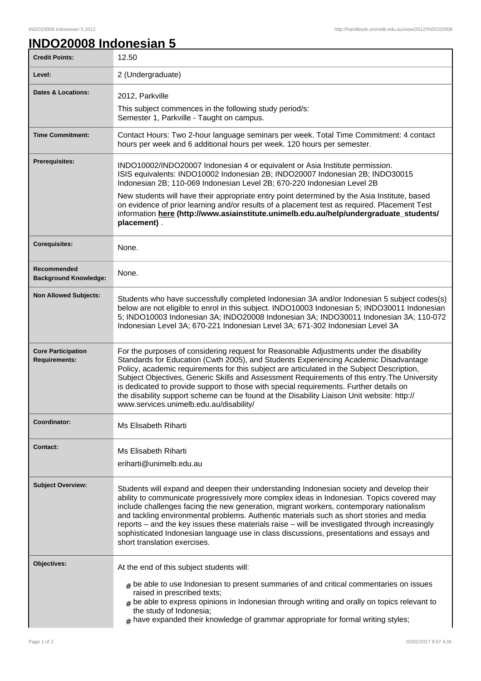## **INDO20008 Indonesian 5**

| <b>Credit Points:</b>                             | 12.50                                                                                                                                                                                                                                                                                                                                                                                                                                                                                                                                                                                                            |
|---------------------------------------------------|------------------------------------------------------------------------------------------------------------------------------------------------------------------------------------------------------------------------------------------------------------------------------------------------------------------------------------------------------------------------------------------------------------------------------------------------------------------------------------------------------------------------------------------------------------------------------------------------------------------|
| Level:                                            | 2 (Undergraduate)                                                                                                                                                                                                                                                                                                                                                                                                                                                                                                                                                                                                |
| <b>Dates &amp; Locations:</b>                     | 2012, Parkville<br>This subject commences in the following study period/s:<br>Semester 1, Parkville - Taught on campus.                                                                                                                                                                                                                                                                                                                                                                                                                                                                                          |
| <b>Time Commitment:</b>                           | Contact Hours: Two 2-hour language seminars per week. Total Time Commitment: 4 contact<br>hours per week and 6 additional hours per week. 120 hours per semester.                                                                                                                                                                                                                                                                                                                                                                                                                                                |
| <b>Prerequisites:</b>                             | INDO10002/INDO20007 Indonesian 4 or equivalent or Asia Institute permission.<br>ISIS equivalents: INDO10002 Indonesian 2B; INDO20007 Indonesian 2B; INDO30015<br>Indonesian 2B; 110-069 Indonesian Level 2B; 670-220 Indonesian Level 2B<br>New students will have their appropriate entry point determined by the Asia Institute, based<br>on evidence of prior learning and/or results of a placement test as required. Placement Test                                                                                                                                                                         |
|                                                   | information here (http://www.asiainstitute.unimelb.edu.au/help/undergraduate_students/<br>placement).                                                                                                                                                                                                                                                                                                                                                                                                                                                                                                            |
| <b>Corequisites:</b>                              | None.                                                                                                                                                                                                                                                                                                                                                                                                                                                                                                                                                                                                            |
| Recommended<br><b>Background Knowledge:</b>       | None.                                                                                                                                                                                                                                                                                                                                                                                                                                                                                                                                                                                                            |
| <b>Non Allowed Subjects:</b>                      | Students who have successfully completed Indonesian 3A and/or Indonesian 5 subject codes(s)<br>below are not eligible to enrol in this subject. INDO10003 Indonesian 5; INDO30011 Indonesian<br>5; INDO10003 Indonesian 3A; INDO20008 Indonesian 3A; INDO30011 Indonesian 3A; 110-072<br>Indonesian Level 3A; 670-221 Indonesian Level 3A; 671-302 Indonesian Level 3A                                                                                                                                                                                                                                           |
| <b>Core Participation</b><br><b>Requirements:</b> | For the purposes of considering request for Reasonable Adjustments under the disability<br>Standards for Education (Cwth 2005), and Students Experiencing Academic Disadvantage<br>Policy, academic requirements for this subject are articulated in the Subject Description,<br>Subject Objectives, Generic Skills and Assessment Requirements of this entry. The University<br>is dedicated to provide support to those with special requirements. Further details on<br>the disability support scheme can be found at the Disability Liaison Unit website: http://<br>www.services.unimelb.edu.au/disability/ |
| Coordinator:                                      | Ms Elisabeth Riharti                                                                                                                                                                                                                                                                                                                                                                                                                                                                                                                                                                                             |
| <b>Contact:</b>                                   | Ms Elisabeth Riharti<br>eriharti@unimelb.edu.au                                                                                                                                                                                                                                                                                                                                                                                                                                                                                                                                                                  |
| <b>Subject Overview:</b>                          | Students will expand and deepen their understanding Indonesian society and develop their<br>ability to communicate progressively more complex ideas in Indonesian. Topics covered may<br>include challenges facing the new generation, migrant workers, contemporary nationalism<br>and tackling environmental problems. Authentic materials such as short stories and media<br>reports – and the key issues these materials raise – will be investigated through increasingly<br>sophisticated Indonesian language use in class discussions, presentations and essays and<br>short translation exercises.       |
| Objectives:                                       | At the end of this subject students will:<br>$#$ be able to use Indonesian to present summaries of and critical commentaries on issues<br>raised in prescribed texts;<br>$#$ be able to express opinions in Indonesian through writing and orally on topics relevant to<br>the study of Indonesia;<br>$#$ have expanded their knowledge of grammar appropriate for formal writing styles;                                                                                                                                                                                                                        |